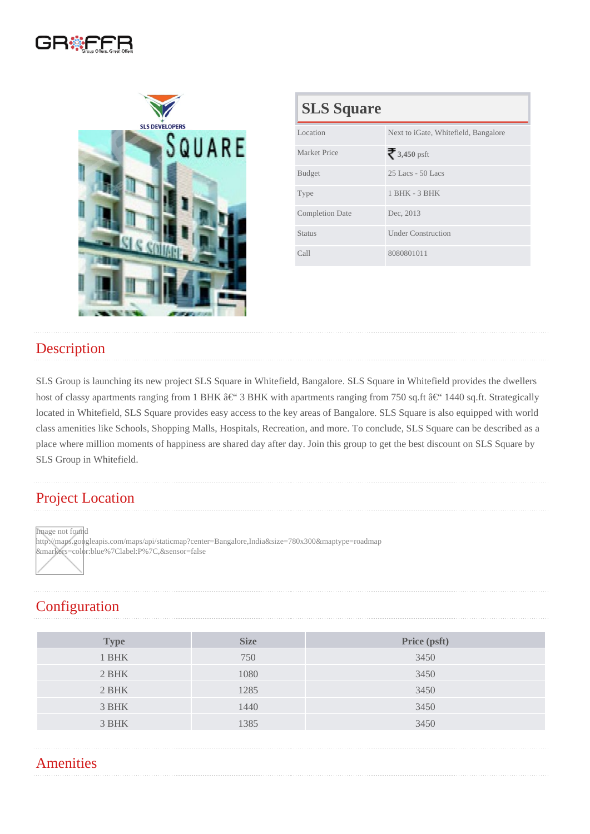| <b>SLS Square</b>      |                                      |  |
|------------------------|--------------------------------------|--|
| Location               | Next to iGate, Whitefield, Bangalore |  |
| <b>Market Price</b>    | 3,450psft                            |  |
| <b>Budget</b>          | 25 Lacs - 50 Lacs                    |  |
| <b>Type</b>            | 1 BHK - 3 BHK                        |  |
| <b>Completion Date</b> | Dec, 2013                            |  |
| Status                 | <b>Under Construction</b>            |  |
| Call                   | 8080801011                           |  |

### **Description**

SLS Group is launching its new project SLS Square in Whitefield, Bangalore. SLS Square in Whitefield provides the dwellers host of classy apartments ranging from 1 BHK – 3 BHK with apartments ranging from 750 sq.ft – 1440 sq.ft. Strategically located in Whitefield, SLS Square provides easy access to the key areas of Bangalore. SLS Square is also equipped with world class amenities like Schools, Shopping Malls, Hospitals, Recreation, and more. To conclude, SLS Square can be described as a place where million moments of happiness are shared day after day. Join this group to get the best discount on SLS Square by SLS Group in Whitefield.

### Project Location

Image not found

http://maps.googleapis.com/maps/api/staticmap?center=Bangalore,India&size=780x300&maptype=roadmap &markers=color:blue%7Clabel:P%7C,&sensor=false

## **Configuration**

| Type  | <b>Size</b> | Price (psft) |
|-------|-------------|--------------|
| 1 BHK | 750         | 3450         |
| 2 BHK | 1080        | 3450         |
| 2 BHK | 1285        | 3450         |
| 3 BHK | 1440        | 3450         |
| 3 BHK | 1385        | 3450         |
|       |             |              |

#### **Amenities**